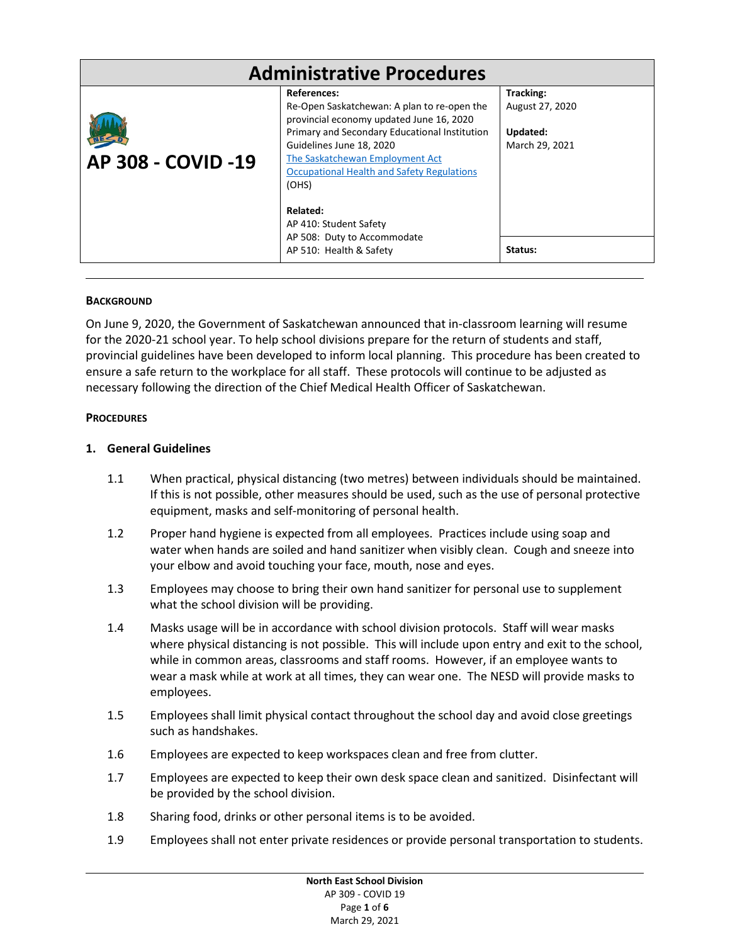| <b>Administrative Procedures</b> |                                                                                                                                                         |                                          |
|----------------------------------|---------------------------------------------------------------------------------------------------------------------------------------------------------|------------------------------------------|
|                                  | References:<br>Re-Open Saskatchewan: A plan to re-open the<br>provincial economy updated June 16, 2020<br>Primary and Secondary Educational Institution | Tracking:<br>August 27, 2020<br>Updated: |
| <b>AP 308 - COVID -19</b>        | Guidelines June 18, 2020<br>The Saskatchewan Employment Act<br>Occupational Health and Safety Regulations<br>(OHS)                                      | March 29, 2021                           |
|                                  | Related:<br>AP 410: Student Safety                                                                                                                      |                                          |
|                                  | AP 508: Duty to Accommodate<br>AP 510: Health & Safety                                                                                                  | Status:                                  |

### **BACKGROUND**

On June 9, 2020, the Government of Saskatchewan announced that in-classroom learning will resume for the 2020-21 school year. To help school divisions prepare for the return of students and staff, provincial guidelines have been developed to inform local planning. This procedure has been created to ensure a safe return to the workplace for all staff. These protocols will continue to be adjusted as necessary following the direction of the Chief Medical Health Officer of Saskatchewan.

### **PROCEDURES**

### **1. General Guidelines**

- 1.1 When practical, physical distancing (two metres) between individuals should be maintained. If this is not possible, other measures should be used, such as the use of personal protective equipment, masks and self-monitoring of personal health.
- 1.2 Proper hand hygiene is expected from all employees. Practices include using soap and water when hands are soiled and hand sanitizer when visibly clean. Cough and sneeze into your elbow and avoid touching your face, mouth, nose and eyes.
- 1.3 Employees may choose to bring their own hand sanitizer for personal use to supplement what the school division will be providing.
- 1.4 Masks usage will be in accordance with school division protocols. Staff will wear masks where physical distancing is not possible. This will include upon entry and exit to the school, while in common areas, classrooms and staff rooms. However, if an employee wants to wear a mask while at work at all times, they can wear one. The NESD will provide masks to employees.
- 1.5 Employees shall limit physical contact throughout the school day and avoid close greetings such as handshakes.
- 1.6 Employees are expected to keep workspaces clean and free from clutter.
- 1.7 Employees are expected to keep their own desk space clean and sanitized. Disinfectant will be provided by the school division.
- 1.8 Sharing food, drinks or other personal items is to be avoided.
- 1.9 Employees shall not enter private residences or provide personal transportation to students.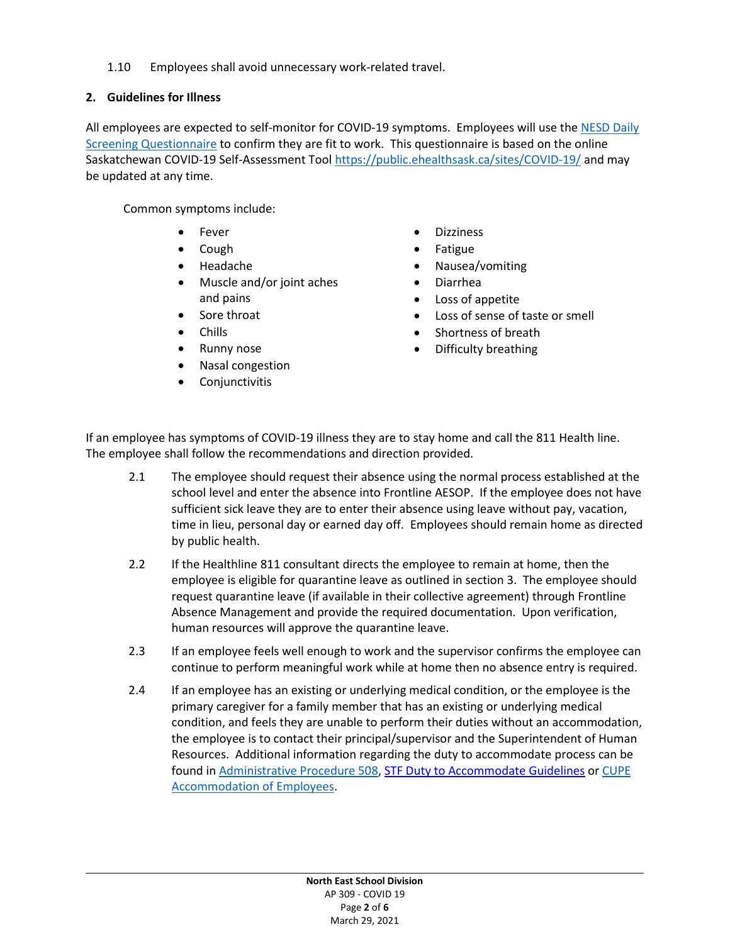1.10 Employees shall avoid unnecessary work-related travel.

## **2. Guidelines for Illness**

All employees are expected to self-monitor for COVID-19 symptoms. Employees will use the [NESD Daily](https://www.nesd.ca/covid19/NESD%20Updates/NESD%20covid19%20daily%20risk%20assessment.pdf)  [Screening Questionnaire](https://www.nesd.ca/covid19/NESD%20Updates/NESD%20covid19%20daily%20risk%20assessment.pdf) to confirm they are fit to work. This questionnaire is based on the online Saskatchewan COVID-19 Self-Assessment Tool<https://public.ehealthsask.ca/sites/COVID-19/> and may be updated at any time.

Common symptoms include:

- **Fever**
- Cough
- Headache
- Muscle and/or joint aches and pains
- Sore throat
- Chills
- Runny nose
- Nasal congestion
- **Conjunctivitis**
- Dizziness
- Fatigue
- Nausea/vomiting
- Diarrhea
- Loss of appetite
- Loss of sense of taste or smell
- Shortness of breath
- Difficulty breathing

If an employee has symptoms of COVID-19 illness they are to stay home and call the 811 Health line. The employee shall follow the recommendations and direction provided.

- 2.1 The employee should request their absence using the normal process established at the school level and enter the absence into Frontline AESOP. If the employee does not have sufficient sick leave they are to enter their absence using leave without pay, vacation, time in lieu, personal day or earned day off. Employees should remain home as directed by public health.
- 2.2 If the Healthline 811 consultant directs the employee to remain at home, then the employee is eligible for quarantine leave as outlined in section 3. The employee should request quarantine leave (if available in their collective agreement) through Frontline Absence Management and provide the required documentation. Upon verification, human resources will approve the quarantine leave.
- 2.3 If an employee feels well enough to work and the supervisor confirms the employee can continue to perform meaningful work while at home then no absence entry is required.
- 2.4 If an employee has an existing or underlying medical condition, or the employee is the primary caregiver for a family member that has an existing or underlying medical condition, and feels they are unable to perform their duties without an accommodation, the employee is to contact their principal/supervisor and the Superintendent of Human Resources. Additional information regarding the duty to accommodate process can be found in [Administrative Procedure 508,](https://www.nesd.ca/Board/policiesprocedures/Documents/Module%205%20-%20Human%20Resources/AP%20508%20-%20Duty%20to%20Accommodate.pdf) [STF Duty to Accommodate Guidelines](https://www.stf.sk.ca/sites/default/files/duty_to_accommodate.pdf) or [CUPE](https://www.nesd.ca/careers/Compensation/Documents/CUPE%204875%20Collective%20Agreement%20September%201,%202018%20-%20August%2031,%202022.pdf)  [Accommodation of Employees.](https://www.nesd.ca/careers/Compensation/Documents/CUPE%204875%20Collective%20Agreement%20September%201,%202018%20-%20August%2031,%202022.pdf)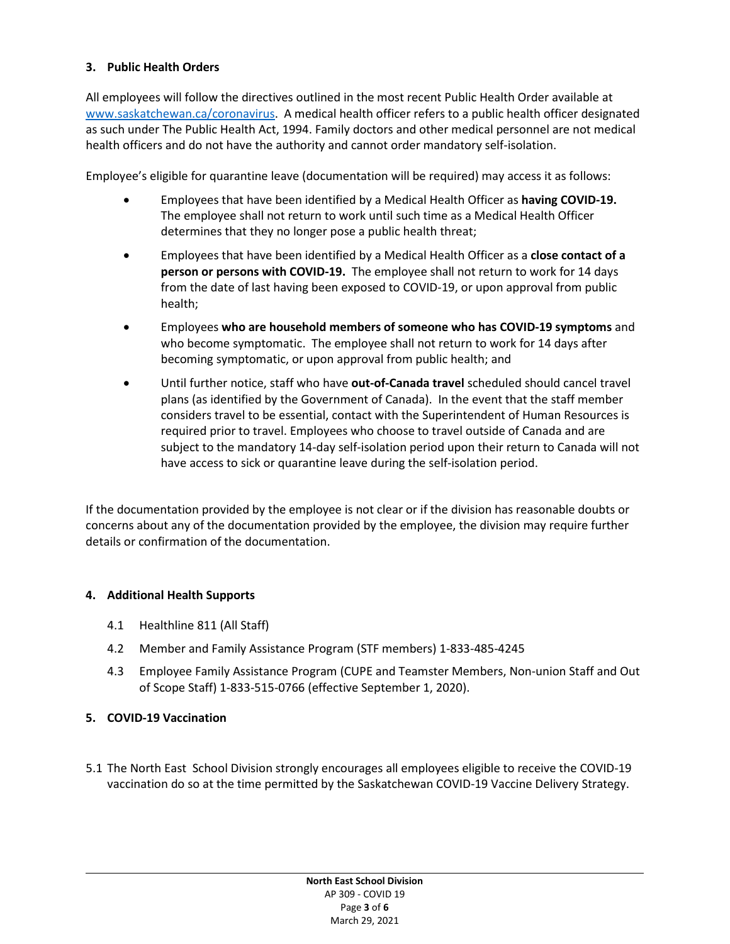## **3. Public Health Orders**

All employees will follow the directives outlined in the most recent Public Health Order available at [www.saskatchewan.ca/coronavirus.](http://www.saskatchewan.ca/coronavirus) A medical health officer refers to a public health officer designated as such under The Public Health Act, 1994. Family doctors and other medical personnel are not medical health officers and do not have the authority and cannot order mandatory self-isolation.

Employee's eligible for quarantine leave (documentation will be required) may access it as follows:

- Employees that have been identified by a Medical Health Officer as **having COVID-19.**  The employee shall not return to work until such time as a Medical Health Officer determines that they no longer pose a public health threat;
- Employees that have been identified by a Medical Health Officer as a **close contact of a person or persons with COVID-19.** The employee shall not return to work for 14 days from the date of last having been exposed to COVID-19, or upon approval from public health;
- Employees **who are household members of someone who has COVID-19 symptoms** and who become symptomatic. The employee shall not return to work for 14 days after becoming symptomatic, or upon approval from public health; and
- Until further notice, staff who have **out-of-Canada travel** scheduled should cancel travel plans (as identified by the Government of Canada). In the event that the staff member considers travel to be essential, contact with the Superintendent of Human Resources is required prior to travel. Employees who choose to travel outside of Canada and are subject to the mandatory 14-day self-isolation period upon their return to Canada will not have access to sick or quarantine leave during the self-isolation period.

If the documentation provided by the employee is not clear or if the division has reasonable doubts or concerns about any of the documentation provided by the employee, the division may require further details or confirmation of the documentation.

### **4. Additional Health Supports**

- 4.1 Healthline 811 (All Staff)
- 4.2 Member and Family Assistance Program (STF members) 1-833-485-4245
- 4.3 Employee Family Assistance Program (CUPE and Teamster Members, Non-union Staff and Out of Scope Staff) 1-833-515-0766 (effective September 1, 2020).

### **5. COVID-19 Vaccination**

5.1 The North East School Division strongly encourages all employees eligible to receive the COVID-19 vaccination do so at the time permitted by the Saskatchewan COVID-19 Vaccine Delivery Strategy.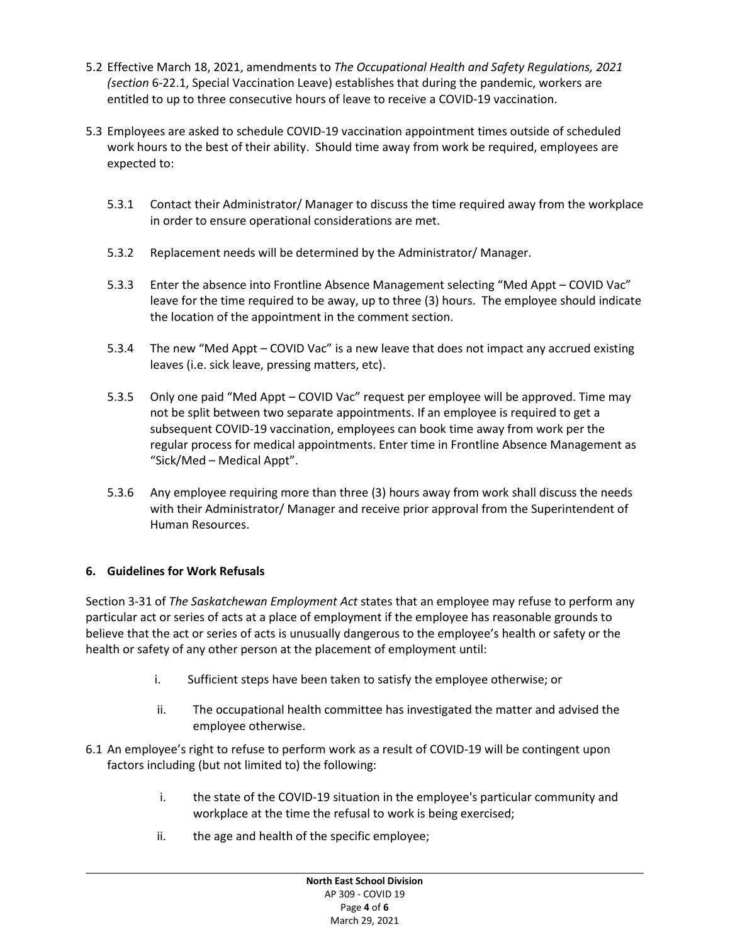- 5.2 Effective March 18, 2021, amendments to *The Occupational Health and Safety Regulations, 2021 (section* 6-22.1, Special Vaccination Leave) establishes that during the pandemic, workers are entitled to up to three consecutive hours of leave to receive a COVID-19 vaccination.
- 5.3 Employees are asked to schedule COVID-19 vaccination appointment times outside of scheduled work hours to the best of their ability. Should time away from work be required, employees are expected to:
	- 5.3.1 Contact their Administrator/ Manager to discuss the time required away from the workplace in order to ensure operational considerations are met.
	- 5.3.2 Replacement needs will be determined by the Administrator/ Manager.
	- 5.3.3 Enter the absence into Frontline Absence Management selecting "Med Appt COVID Vac" leave for the time required to be away, up to three (3) hours. The employee should indicate the location of the appointment in the comment section.
	- 5.3.4 The new "Med Appt COVID Vac" is a new leave that does not impact any accrued existing leaves (i.e. sick leave, pressing matters, etc).
	- 5.3.5 Only one paid "Med Appt COVID Vac" request per employee will be approved. Time may not be split between two separate appointments. If an employee is required to get a subsequent COVID-19 vaccination, employees can book time away from work per the regular process for medical appointments. Enter time in Frontline Absence Management as "Sick/Med – Medical Appt".
	- 5.3.6 Any employee requiring more than three (3) hours away from work shall discuss the needs with their Administrator/ Manager and receive prior approval from the Superintendent of Human Resources.

# **6. Guidelines for Work Refusals**

Section 3-31 of *The Saskatchewan Employment Act* states that an employee may refuse to perform any particular act or series of acts at a place of employment if the employee has reasonable grounds to believe that the act or series of acts is unusually dangerous to the employee's health or safety or the health or safety of any other person at the placement of employment until:

- i. Sufficient steps have been taken to satisfy the employee otherwise; or
- ii. The occupational health committee has investigated the matter and advised the employee otherwise.
- 6.1 An employee's right to refuse to perform work as a result of COVID-19 will be contingent upon factors including (but not limited to) the following:
	- i. the state of the COVID-19 situation in the employee's particular community and workplace at the time the refusal to work is being exercised;
	- ii. the age and health of the specific employee;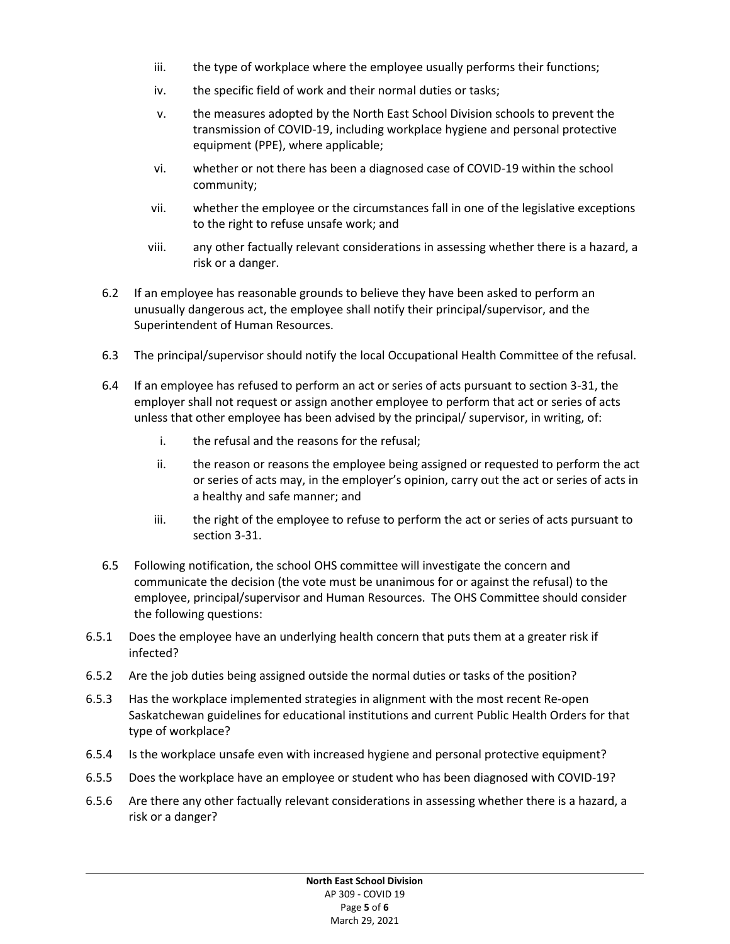- iii. the type of workplace where the employee usually performs their functions;
- iv. the specific field of work and their normal duties or tasks;
- v. the measures adopted by the North East School Division schools to prevent the transmission of COVID-19, including workplace hygiene and personal protective equipment (PPE), where applicable;
- vi. whether or not there has been a diagnosed case of COVID-19 within the school community;
- vii. whether the employee or the circumstances fall in one of the legislative exceptions to the right to refuse unsafe work; and
- viii. any other factually relevant considerations in assessing whether there is a hazard, a risk or a danger.
- 6.2 If an employee has reasonable grounds to believe they have been asked to perform an unusually dangerous act, the employee shall notify their principal/supervisor, and the Superintendent of Human Resources.
- 6.3 The principal/supervisor should notify the local Occupational Health Committee of the refusal.
- 6.4 If an employee has refused to perform an act or series of acts pursuant to section 3-31, the employer shall not request or assign another employee to perform that act or series of acts unless that other employee has been advised by the principal/ supervisor, in writing, of:
	- i. the refusal and the reasons for the refusal;
	- ii. the reason or reasons the employee being assigned or requested to perform the act or series of acts may, in the employer's opinion, carry out the act or series of acts in a healthy and safe manner; and
	- iii. the right of the employee to refuse to perform the act or series of acts pursuant to section 3-31.
- 6.5 Following notification, the school OHS committee will investigate the concern and communicate the decision (the vote must be unanimous for or against the refusal) to the employee, principal/supervisor and Human Resources. The OHS Committee should consider the following questions:
- 6.5.1 Does the employee have an underlying health concern that puts them at a greater risk if infected?
- 6.5.2 Are the job duties being assigned outside the normal duties or tasks of the position?
- 6.5.3 Has the workplace implemented strategies in alignment with the most recent Re-open Saskatchewan guidelines for educational institutions and current Public Health Orders for that type of workplace?
- 6.5.4 Is the workplace unsafe even with increased hygiene and personal protective equipment?
- 6.5.5 Does the workplace have an employee or student who has been diagnosed with COVID-19?
- 6.5.6 Are there any other factually relevant considerations in assessing whether there is a hazard, a risk or a danger?